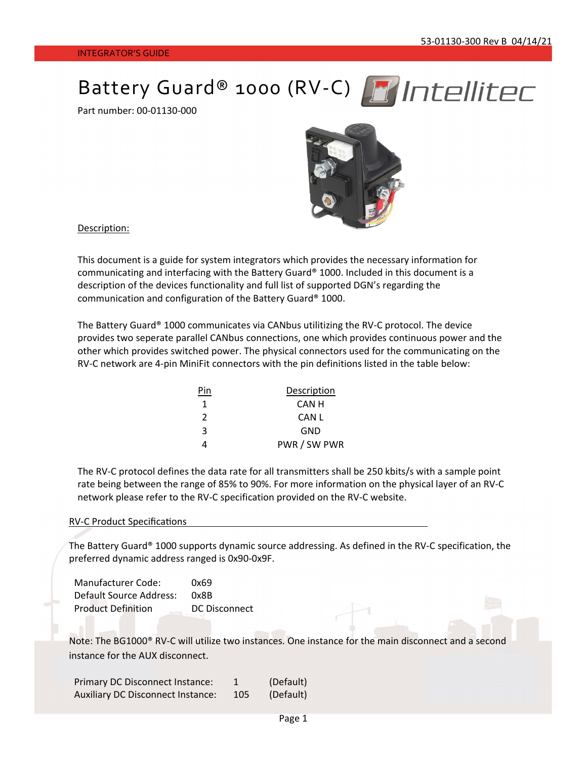# Battery Guard® 1000 (RV-C) MIntellitec

Part number: 00‐01130‐000



Description:

This document is a guide for system integrators which provides the necessary information for communicating and interfacing with the Battery Guard® 1000. Included in this document is a description of the devices functionality and full list of supported DGN's regarding the communication and configuration of the Battery Guard® 1000.

The Battery Guard® 1000 communicates via CANbus utilitizing the RV‐C protocol. The device provides two seperate parallel CANbus connections, one which provides continuous power and the other which provides switched power. The physical connectors used for the communicating on the RV-C network are 4-pin MiniFit connectors with the pin definitions listed in the table below:

| Pin           | Description  |
|---------------|--------------|
| 1             | CAN H        |
| $\mathcal{P}$ | CAN L        |
| 3             | GND          |
| 4             | PWR / SW PWR |

The RV-C protocol defines the data rate for all transmitters shall be 250 kbits/s with a sample point rate being between the range of 85% to 90%. For more information on the physical layer of an RV‐C network please refer to the RV‐C specification provided on the RV‐C website.

#### RV-C Product Specifications

The Battery Guard® 1000 supports dynamic source addressing. As defined in the RV‐C specification, the preferred dynamic address ranged is 0x90‐0x9F.

Manufacturer Code: 0x69 Default Source Address: 0x8B Product Definition DC Disconnect

Note: The BG1000® RV‐C will utilize two instances. One instance for the main disconnect and a second instance for the AUX disconnect.

| Primary DC Disconnect Instance:          |     | (Default) |
|------------------------------------------|-----|-----------|
| <b>Auxiliary DC Disconnect Instance:</b> | 105 | (Default) |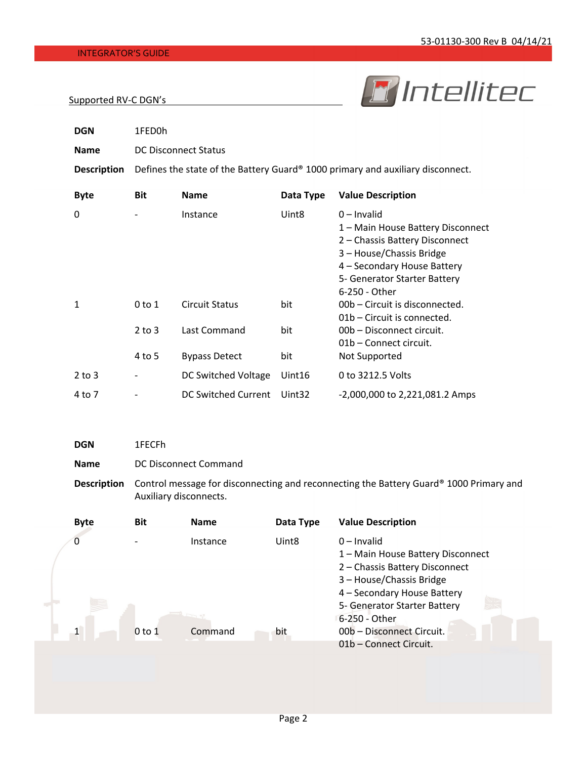# **F** Intellitec

#### Supported RV‐C DGN's

| <b>DGN</b>         | 1FED0h                                                                         |                       |                    |                                                                                                                                                                                                  |  |  |
|--------------------|--------------------------------------------------------------------------------|-----------------------|--------------------|--------------------------------------------------------------------------------------------------------------------------------------------------------------------------------------------------|--|--|
| <b>Name</b>        | <b>DC Disconnect Status</b>                                                    |                       |                    |                                                                                                                                                                                                  |  |  |
| <b>Description</b> | Defines the state of the Battery Guard® 1000 primary and auxiliary disconnect. |                       |                    |                                                                                                                                                                                                  |  |  |
| <b>Byte</b>        | <b>Bit</b>                                                                     | <b>Name</b>           | Data Type          | <b>Value Description</b>                                                                                                                                                                         |  |  |
| 0                  |                                                                                | Instance              | Uint <sub>8</sub>  | $0$ – Invalid<br>1 - Main House Battery Disconnect<br>2 - Chassis Battery Disconnect<br>3 - House/Chassis Bridge<br>4 - Secondary House Battery<br>5- Generator Starter Battery<br>6-250 - Other |  |  |
| 1                  | $0$ to $1$                                                                     | <b>Circuit Status</b> | bit                | 00b – Circuit is disconnected.<br>01b – Circuit is connected.                                                                                                                                    |  |  |
|                    | $2$ to $3$                                                                     | Last Command          | bit                | 00b - Disconnect circuit.<br>01b - Connect circuit.                                                                                                                                              |  |  |
|                    | 4 to 5                                                                         | <b>Bypass Detect</b>  | bit                | Not Supported                                                                                                                                                                                    |  |  |
| $2$ to $3$         |                                                                                | DC Switched Voltage   | Uint16             | 0 to 3212.5 Volts                                                                                                                                                                                |  |  |
| 4 to 7             |                                                                                | DC Switched Current   | Uint <sub>32</sub> | -2,000,000 to 2,221,081.2 Amps                                                                                                                                                                   |  |  |

### **DGN** 1FECFh

**Name** DC Disconnect Command

**Description** Control message for disconnecting and reconnecting the Battery Guard® 1000 Primary and Auxiliary disconnects.

| <b>Byte</b>  | <b>Bit</b> | <b>Name</b> | Data Type         | <b>Value Description</b>                                                                                                                        |
|--------------|------------|-------------|-------------------|-------------------------------------------------------------------------------------------------------------------------------------------------|
| 0            |            | Instance    | Uint <sub>8</sub> | $0$ – Invalid<br>1 - Main House Battery Disconnect<br>2 - Chassis Battery Disconnect<br>3 - House/Chassis Bridge<br>4 - Secondary House Battery |
| $\mathbf{1}$ | $0$ to $1$ | Command     | bit               | 5- Generator Starter Battery<br>6-250 - Other<br>00b - Disconnect Circuit.<br>01b – Connect Circuit.                                            |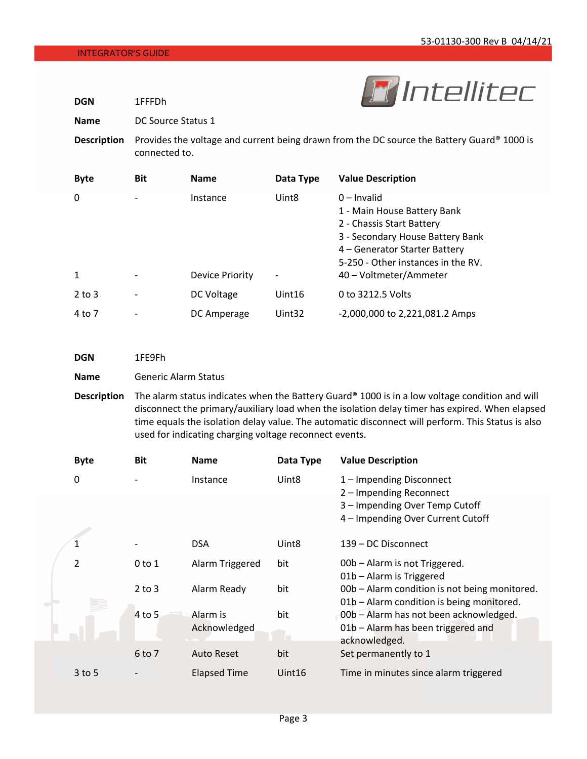**DGN** 1FFFDh



**Name** DC Source Status 1

**Description** Provides the voltage and current being drawn from the DC source the Battery Guard® 1000 is connected to.

| <b>Byte</b>  | <b>Bit</b>               | <b>Name</b>     | Data Type         | <b>Value Description</b>                                                                                                                                                             |
|--------------|--------------------------|-----------------|-------------------|--------------------------------------------------------------------------------------------------------------------------------------------------------------------------------------|
| 0            |                          | Instance        | Uint <sub>8</sub> | $0$ – Invalid<br>1 - Main House Battery Bank<br>2 - Chassis Start Battery<br>3 - Secondary House Battery Bank<br>4 – Generator Starter Battery<br>5-250 - Other instances in the RV. |
| $\mathbf{1}$ |                          | Device Priority |                   | 40 – Voltmeter/Ammeter                                                                                                                                                               |
| $2$ to $3$   | $\overline{\phantom{0}}$ | DC Voltage      | Uint16            | 0 to 3212.5 Volts                                                                                                                                                                    |
| 4 to 7       |                          | DC Amperage     | Uint32            | -2,000,000 to 2,221,081.2 Amps                                                                                                                                                       |

| <b>DGN</b>  | 1FE9Fh                      |
|-------------|-----------------------------|
| <b>Name</b> | <b>Generic Alarm Status</b> |

**Description** The alarm status indicates when the Battery Guard® 1000 is in a low voltage condition and will disconnect the primary/auxiliary load when the isolation delay timer has expired. When elapsed time equals the isolation delay value. The automatic disconnect will perform. This Status is also used for indicating charging voltage reconnect events.

| <b>Byte</b>    | <b>Bit</b> | <b>Name</b>              | Data Type         | <b>Value Description</b>                                                                      |
|----------------|------------|--------------------------|-------------------|-----------------------------------------------------------------------------------------------|
| 0              |            | Instance                 | Uint <sub>8</sub> | 1 - Impending Disconnect<br>2 - Impending Reconnect<br>3 - Impending Over Temp Cutoff         |
|                |            |                          |                   | 4 - Impending Over Current Cutoff                                                             |
|                |            | <b>DSA</b>               | Uint <sub>8</sub> | 139 – DC Disconnect                                                                           |
| $\mathfrak{p}$ | $0$ to $1$ | Alarm Triggered          | bit               | 00b - Alarm is not Triggered.<br>01b - Alarm is Triggered                                     |
|                | $2$ to $3$ | Alarm Ready              | bit               | 00b - Alarm condition is not being monitored.<br>01b - Alarm condition is being monitored.    |
|                | 4 to 5     | Alarm is<br>Acknowledged | bit               | 00b - Alarm has not been acknowledged.<br>01b - Alarm has been triggered and<br>acknowledged. |
|                | 6 to 7     | <b>Auto Reset</b>        | bit               | Set permanently to 1                                                                          |
| $3$ to 5       |            | <b>Elapsed Time</b>      | Uint16            | Time in minutes since alarm triggered                                                         |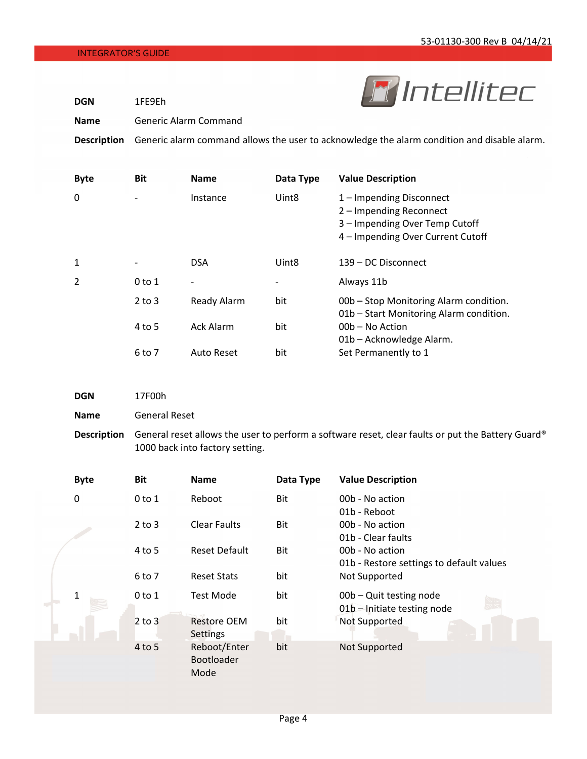**DGN** 1FE9Eh



**Name** Generic Alarm Command

**Description** Generic alarm command allows the user to acknowledge the alarm condition and disable alarm.

| <b>Byte</b> | <b>Bit</b>               | <b>Name</b>       | Data Type         | <b>Value Description</b>                                                                                                   |
|-------------|--------------------------|-------------------|-------------------|----------------------------------------------------------------------------------------------------------------------------|
| 0           | $\overline{\phantom{a}}$ | Instance          | Uint <sub>8</sub> | 1 – Impending Disconnect<br>2 – Impending Reconnect<br>3 - Impending Over Temp Cutoff<br>4 - Impending Over Current Cutoff |
| 1           |                          | <b>DSA</b>        | Uint <sub>8</sub> | 139 – DC Disconnect                                                                                                        |
| 2           | $0$ to $1$               |                   | $\qquad \qquad$   | Always 11b                                                                                                                 |
|             | $2$ to $3$               | Ready Alarm       | bit               | 00b – Stop Monitoring Alarm condition.<br>01b – Start Monitoring Alarm condition.                                          |
|             | 4 to 5                   | <b>Ack Alarm</b>  | bit               | 00b - No Action<br>01b - Acknowledge Alarm.                                                                                |
|             | 6 to 7                   | <b>Auto Reset</b> | bit               | Set Permanently to 1                                                                                                       |

**Name** General Reset

**Description** General reset allows the user to perform a software reset, clear faults or put the Battery Guard® 1000 back into factory setting.

| <b>Byte</b> | <b>Bit</b> | <b>Name</b>                           | Data Type | <b>Value Description</b>                                    |
|-------------|------------|---------------------------------------|-----------|-------------------------------------------------------------|
| 0           | $0$ to $1$ | Reboot                                | Bit       | 00b - No action                                             |
|             | $2$ to $3$ | <b>Clear Faults</b>                   | Bit       | 01b - Reboot<br>00b - No action<br>01b - Clear faults       |
|             | 4 to 5     | <b>Reset Default</b>                  | Bit       | 00b - No action<br>01b - Restore settings to default values |
|             | 6 to 7     | <b>Reset Stats</b>                    | bit       | Not Supported                                               |
| 1           | $0$ to $1$ | <b>Test Mode</b>                      | bit       | 00b - Quit testing node<br>01b - Initiate testing node      |
|             | $2$ to $3$ | <b>Restore OEM</b><br><b>Settings</b> | bit       | Not Supported                                               |
|             | 4 to 5     | Reboot/Enter<br>Bootloader<br>Mode    | bit       | Not Supported                                               |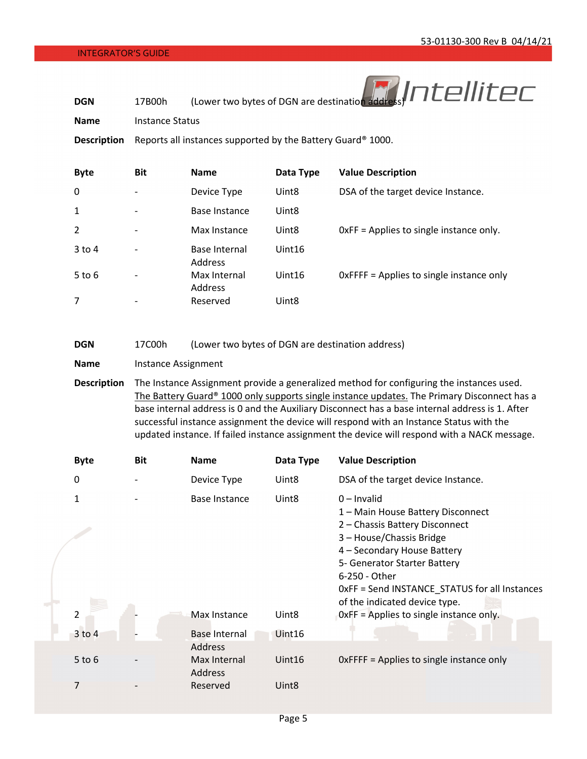

**Name** Instance Status

**Description** Reports all instances supported by the Battery Guard® 1000.

| <b>Byte</b>  | <b>Bit</b>               | <b>Name</b>                    | Data Type         | <b>Value Description</b>                 |
|--------------|--------------------------|--------------------------------|-------------------|------------------------------------------|
| 0            |                          | Device Type                    | Uint <sub>8</sub> | DSA of the target device Instance.       |
| $\mathbf{1}$ |                          | Base Instance                  | Uint <sub>8</sub> |                                          |
| 2            |                          | Max Instance                   | Uint <sub>8</sub> | OxFF = Applies to single instance only.  |
| 3 to 4       |                          | Base Internal<br>Address       | Uint16            |                                          |
| $5$ to 6     | $\overline{\phantom{0}}$ | Max Internal<br><b>Address</b> | Uint16            | OxFFFF = Applies to single instance only |
| 7            |                          | Reserved                       | Uint <sub>8</sub> |                                          |

| <b>DGN</b><br>17C00h |  |  | (Lower two bytes of DGN are destination address) |
|----------------------|--|--|--------------------------------------------------|
|----------------------|--|--|--------------------------------------------------|

| <b>Name</b> | Instance Assignment |  |
|-------------|---------------------|--|
|-------------|---------------------|--|

**Description** The Instance Assignment provide a generalized method for configuring the instances used. The Battery Guard® 1000 only supports single instance updates. The Primary Disconnect has a base internal address is 0 and the Auxiliary Disconnect has a base internal address is 1. After successful instance assignment the device will respond with an Instance Status with the updated instance. If failed instance assignment the device will respond with a NACK message.

| <b>Byte</b>    | <b>Bit</b> | <b>Name</b>                            | Data Type         | <b>Value Description</b>                                                                                                                                                                                                                                                           |
|----------------|------------|----------------------------------------|-------------------|------------------------------------------------------------------------------------------------------------------------------------------------------------------------------------------------------------------------------------------------------------------------------------|
| 0              |            | Device Type                            | Uint <sub>8</sub> | DSA of the target device Instance.                                                                                                                                                                                                                                                 |
| 1              |            | Base Instance                          | Uint <sub>8</sub> | $0$ – Invalid<br>1 – Main House Battery Disconnect<br>2 - Chassis Battery Disconnect<br>3 - House/Chassis Bridge<br>4 - Secondary House Battery<br>5- Generator Starter Battery<br>6-250 - Other<br>OxFF = Send INSTANCE_STATUS for all Instances<br>of the indicated device type. |
| $\overline{2}$ |            | Max Instance                           | Uint <sub>8</sub> | OxFF = Applies to single instance only.                                                                                                                                                                                                                                            |
| $3$ to $4$     |            | <b>Base Internal</b><br><b>Address</b> | Uint16            |                                                                                                                                                                                                                                                                                    |
| $5$ to $6$     |            | Max Internal<br><b>Address</b>         | Uint16            | OxFFFF = Applies to single instance only                                                                                                                                                                                                                                           |
| 7              |            | Reserved                               | Uint <sub>8</sub> |                                                                                                                                                                                                                                                                                    |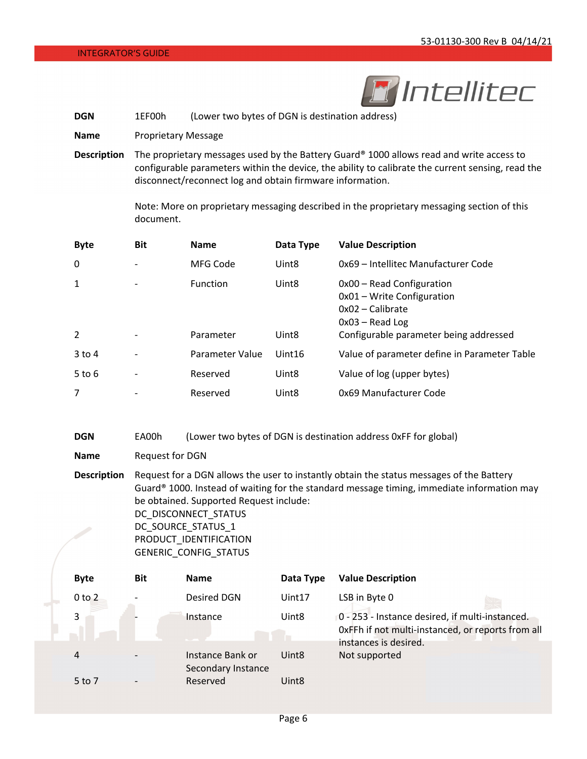

**DGN** 1EF00h (Lower two bytes of DGN is destination address)

**Name** Proprietary Message

**Description** The proprietary messages used by the Battery Guard® 1000 allows read and write access to configurable parameters within the device, the ability to calibrate the current sensing, read the disconnect/reconnect log and obtain firmware information.

> Note: More on proprietary messaging described in the proprietary messaging section of this document.

| <b>Byte</b>    | <b>Bit</b>               | <b>Name</b>     | Data Type         | <b>Value Description</b>                                                                           |
|----------------|--------------------------|-----------------|-------------------|----------------------------------------------------------------------------------------------------|
| 0              |                          | MFG Code        | Uint <sub>8</sub> | 0x69 - Intellitec Manufacturer Code                                                                |
| $\mathbf{1}$   |                          | <b>Function</b> | Uint <sub>8</sub> | 0x00 - Read Configuration<br>0x01 - Write Configuration<br>$0x02$ – Calibrate<br>$0x03 - Read Log$ |
| $\overline{2}$ |                          | Parameter       | Uint <sub>8</sub> | Configurable parameter being addressed                                                             |
| $3$ to 4       | $\overline{\phantom{a}}$ | Parameter Value | Uint16            | Value of parameter define in Parameter Table                                                       |
| $5$ to $6$     |                          | Reserved        | Uint <sub>8</sub> | Value of log (upper bytes)                                                                         |
| $\overline{7}$ |                          | Reserved        | Uint <sub>8</sub> | 0x69 Manufacturer Code                                                                             |

**DGN** EA00h (Lower two bytes of DGN is destination address 0xFF for global)

**Name** Request for DGN

**Description** Request for a DGN allows the user to instantly obtain the status messages of the Battery Guard® 1000. Instead of waiting for the standard message timing, immediate information may be obtained. Supported Request include: DC\_DISCONNECT\_STATUS DC\_SOURCE\_STATUS\_1

| PRODUCT IDENTIFICATION |  |
|------------------------|--|
| GENERIC CONFIG STATUS  |  |

| <b>Byte</b> | <b>Bit</b> | <b>Name</b>                            | Data Type         | <b>Value Description</b>                                                                                                      |
|-------------|------------|----------------------------------------|-------------------|-------------------------------------------------------------------------------------------------------------------------------|
| $0$ to $2$  |            | Desired DGN                            | Uint17            | LSB in Byte 0                                                                                                                 |
| 3           |            | Instance                               | Uint <sub>8</sub> | 0 - 253 - Instance desired, if multi-instanced.<br>OxFFh if not multi-instanced, or reports from all<br>instances is desired. |
| 4           |            | Instance Bank or<br>Secondary Instance | Uint <sub>8</sub> | Not supported                                                                                                                 |
| 5 to 7      |            | Reserved                               | Uint <sub>8</sub> |                                                                                                                               |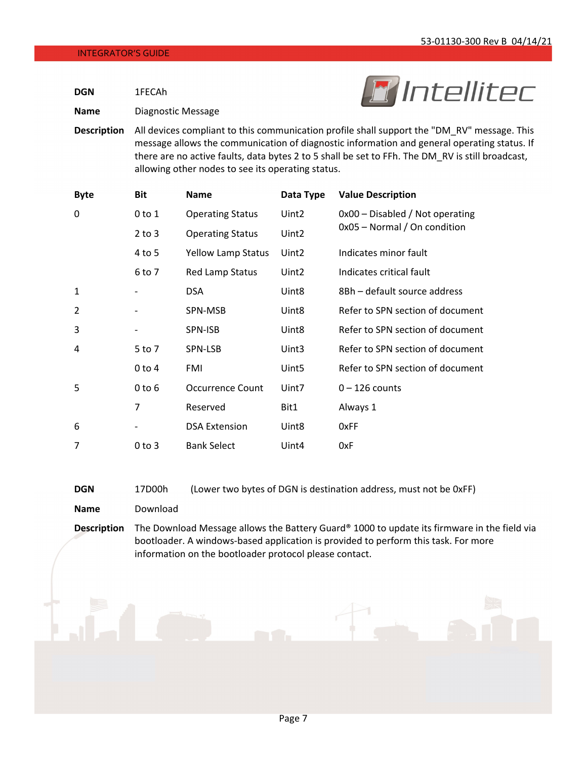*M* Intellitec

**DGN** 1FECAh

**Name** Diagnostic Message



| <b>Byte</b>    | Bit        | Name                      | Data Type         | <b>Value Description</b>          |
|----------------|------------|---------------------------|-------------------|-----------------------------------|
| 0              | $0$ to $1$ | <b>Operating Status</b>   | Uint <sub>2</sub> | $0x00 -$ Disabled / Not operating |
|                | $2$ to $3$ | <b>Operating Status</b>   | Uint <sub>2</sub> | 0x05 - Normal / On condition      |
|                | 4 to 5     | <b>Yellow Lamp Status</b> | Uint <sub>2</sub> | Indicates minor fault             |
|                | 6 to 7     | <b>Red Lamp Status</b>    | Uint <sub>2</sub> | Indicates critical fault          |
| 1              |            | <b>DSA</b>                | Uint <sub>8</sub> | 8Bh - default source address      |
| $\overline{2}$ |            | SPN-MSB                   | Uint8             | Refer to SPN section of document  |
| 3              |            | SPN-ISB                   | Uint <sub>8</sub> | Refer to SPN section of document  |
| 4              | 5 to 7     | SPN-LSB                   | Uint3             | Refer to SPN section of document  |
|                | $0$ to $4$ | FMI                       | Uint <sub>5</sub> | Refer to SPN section of document  |
| 5              | $0$ to $6$ | <b>Occurrence Count</b>   | Uint7             | $0 - 126$ counts                  |
|                | 7          | Reserved                  | Bit1              | Always 1                          |
| 6              |            | <b>DSA Extension</b>      | Uint8             | 0xFF                              |
| 7              | $0$ to $3$ | <b>Bank Select</b>        | Uint4             | 0xF                               |

| DGN | 17D00h | (Lower two bytes of DGN is destination address, must not be 0xFF) |  |  |  |  |
|-----|--------|-------------------------------------------------------------------|--|--|--|--|
|-----|--------|-------------------------------------------------------------------|--|--|--|--|

**Name** Download

**Description** The Download Message allows the Battery Guard® 1000 to update its firmware in the field via bootloader. A windows‐based application is provided to perform this task. For more information on the bootloader protocol please contact.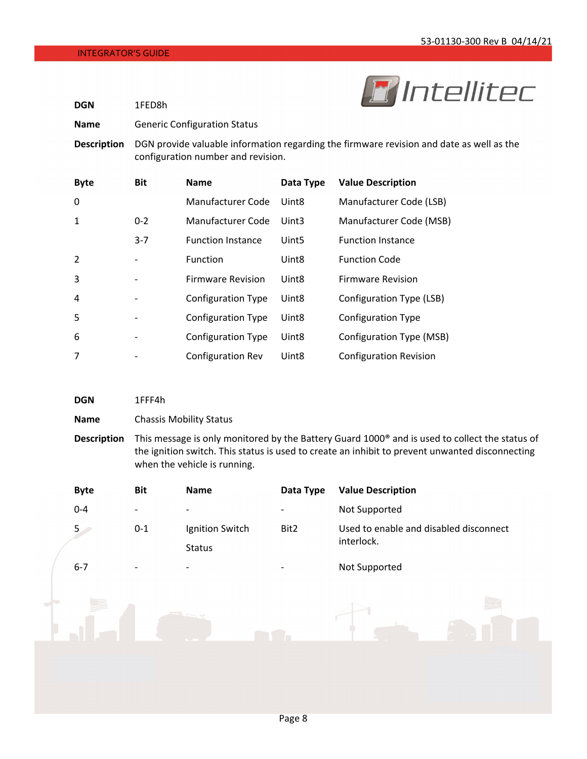

| <b>DGN</b>         | 1FED8h     |                                                                                                                                |                   | --<br>--------                |  |  |
|--------------------|------------|--------------------------------------------------------------------------------------------------------------------------------|-------------------|-------------------------------|--|--|
| <b>Name</b>        |            | <b>Generic Configuration Status</b>                                                                                            |                   |                               |  |  |
| <b>Description</b> |            | DGN provide valuable information regarding the firmware revision and date as well as the<br>configuration number and revision. |                   |                               |  |  |
| <b>Byte</b>        | <b>Bit</b> | <b>Name</b>                                                                                                                    | Data Type         | <b>Value Description</b>      |  |  |
| 0                  |            | Manufacturer Code                                                                                                              | Uint <sub>8</sub> | Manufacturer Code (LSB)       |  |  |
| 1                  | $0 - 2$    | Manufacturer Code                                                                                                              | Uint3             | Manufacturer Code (MSB)       |  |  |
|                    | $3 - 7$    | <b>Function Instance</b>                                                                                                       | Uint5             | <b>Function Instance</b>      |  |  |
| $\overline{2}$     |            | Function                                                                                                                       | Uint <sub>8</sub> | <b>Function Code</b>          |  |  |
| 3                  |            | <b>Firmware Revision</b>                                                                                                       | Uint <sub>8</sub> | <b>Firmware Revision</b>      |  |  |
| 4                  |            | <b>Configuration Type</b>                                                                                                      | Uint <sub>8</sub> | Configuration Type (LSB)      |  |  |
| 5                  |            | <b>Configuration Type</b>                                                                                                      | Uint <sub>8</sub> | <b>Configuration Type</b>     |  |  |
| 6                  |            | <b>Configuration Type</b>                                                                                                      | Uint <sub>8</sub> | Configuration Type (MSB)      |  |  |
| 7                  |            | <b>Configuration Rev</b>                                                                                                       | Uint <sub>8</sub> | <b>Configuration Revision</b> |  |  |

| <b>DGN</b>         | 1FFF4h                                                                                                                                                                                                                                        |
|--------------------|-----------------------------------------------------------------------------------------------------------------------------------------------------------------------------------------------------------------------------------------------|
| <b>Name</b>        | <b>Chassis Mobility Status</b>                                                                                                                                                                                                                |
| <b>Description</b> | This message is only monitored by the Battery Guard 1000 <sup>®</sup> and is used to collect the status of<br>the ignition switch. This status is used to create an inhibit to prevent unwanted disconnecting<br>when the vehicle is running. |

| <b>Byte</b> | <b>Bit</b> | Name                     | Data Type | <b>Value Description</b>               |
|-------------|------------|--------------------------|-----------|----------------------------------------|
| $0 - 4$     |            |                          |           | Not Supported                          |
| $5\degree$  | $0 - 1$    | Ignition Switch          | Bit2      | Used to enable and disabled disconnect |
|             |            | Status                   |           | interlock.                             |
| $6 - 7$     |            | $\overline{\phantom{0}}$ |           | Not Supported                          |
|             |            | Fre                      |           |                                        |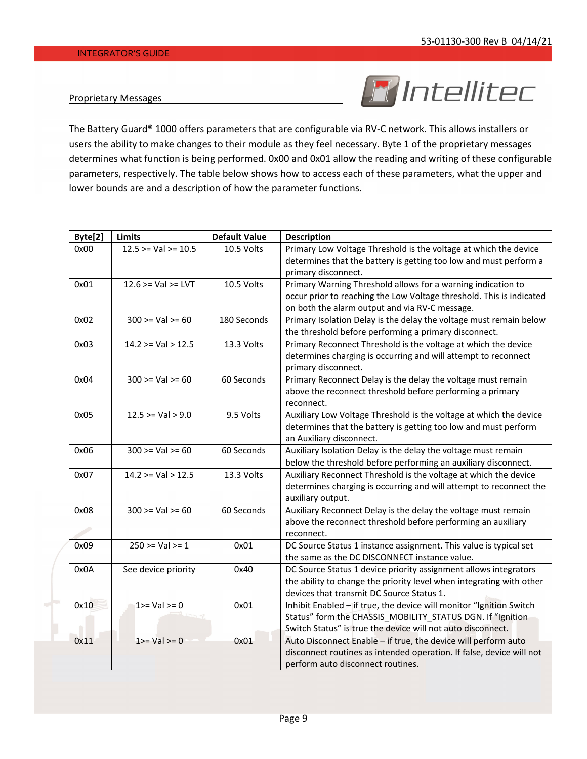### Proprietary Messages



The Battery Guard® 1000 offers parameters that are configurable via RV‐C network. This allows installers or users the ability to make changes to their module as they feel necessary. Byte 1 of the proprietary messages determines what function is being performed. 0x00 and 0x01 allow the reading and writing of these configurable parameters, respectively. The table below shows how to access each of these parameters, what the upper and lower bounds are and a description of how the parameter functions.

| Byte[2] | <b>Limits</b>          | <b>Default Value</b> | <b>Description</b>                                                                                                                                                                               |
|---------|------------------------|----------------------|--------------------------------------------------------------------------------------------------------------------------------------------------------------------------------------------------|
| 0x00    | 12.5 > Val > 10.5      | 10.5 Volts           | Primary Low Voltage Threshold is the voltage at which the device<br>determines that the battery is getting too low and must perform a<br>primary disconnect.                                     |
| 0x01    | $12.6 > = Val > = LVT$ | 10.5 Volts           | Primary Warning Threshold allows for a warning indication to<br>occur prior to reaching the Low Voltage threshold. This is indicated<br>on both the alarm output and via RV-C message.           |
| 0x02    | $300 \ge Val \ge 60$   | 180 Seconds          | Primary Isolation Delay is the delay the voltage must remain below<br>the threshold before performing a primary disconnect.                                                                      |
| 0x03    | $14.2 > = Val > 12.5$  | 13.3 Volts           | Primary Reconnect Threshold is the voltage at which the device<br>determines charging is occurring and will attempt to reconnect<br>primary disconnect.                                          |
| 0x04    | $300 > = Val > = 60$   | 60 Seconds           | Primary Reconnect Delay is the delay the voltage must remain<br>above the reconnect threshold before performing a primary<br>reconnect.                                                          |
| 0x05    | 12.5 > Val > 9.0       | 9.5 Volts            | Auxiliary Low Voltage Threshold is the voltage at which the device<br>determines that the battery is getting too low and must perform<br>an Auxiliary disconnect.                                |
| 0x06    | $300 \ge Val \ge 60$   | 60 Seconds           | Auxiliary Isolation Delay is the delay the voltage must remain<br>below the threshold before performing an auxiliary disconnect.                                                                 |
| 0x07    | 14.2 > Val > 12.5      | 13.3 Volts           | Auxiliary Reconnect Threshold is the voltage at which the device<br>determines charging is occurring and will attempt to reconnect the<br>auxiliary output.                                      |
| 0x08    | $300 >=$ Val >= 60     | 60 Seconds           | Auxiliary Reconnect Delay is the delay the voltage must remain<br>above the reconnect threshold before performing an auxiliary<br>reconnect.                                                     |
| 0x09    | 250 > Val > 1          | 0x01                 | DC Source Status 1 instance assignment. This value is typical set<br>the same as the DC DISCONNECT instance value.                                                                               |
| 0x0A    | See device priority    | 0x40                 | DC Source Status 1 device priority assignment allows integrators<br>the ability to change the priority level when integrating with other<br>devices that transmit DC Source Status 1.            |
| 0x10    | $1>=$ Val $>=$ 0       | 0x01                 | Inhibit Enabled - if true, the device will monitor "Ignition Switch<br>Status" form the CHASSIS_MOBILITY_STATUS DGN. If "Ignition<br>Switch Status" is true the device will not auto disconnect. |
| 0x11    | $1>=$ Val $>=$ 0       | 0x01                 | Auto Disconnect Enable - if true, the device will perform auto<br>disconnect routines as intended operation. If false, device will not<br>perform auto disconnect routines.                      |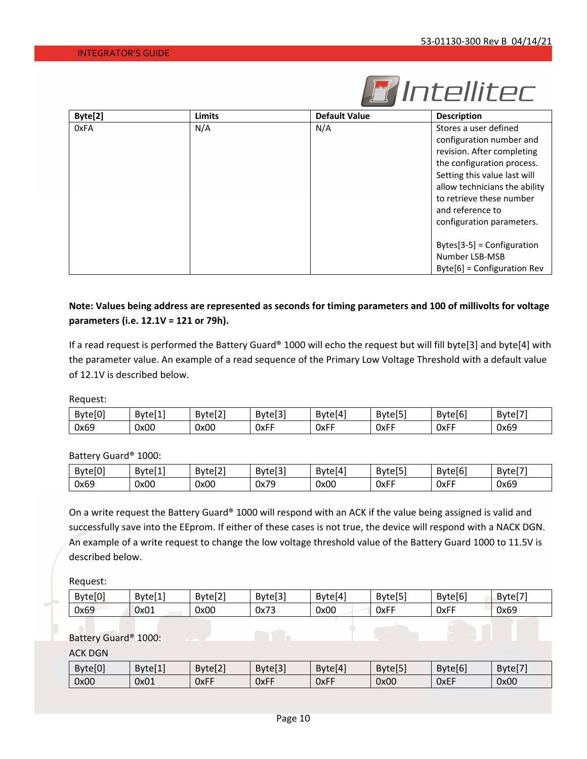

| Byte[2] | <b>Limits</b> | <b>Default Value</b> | <b>Description</b>            |  |  |
|---------|---------------|----------------------|-------------------------------|--|--|
| 0xFA    | N/A           | N/A                  | Stores a user defined         |  |  |
|         |               |                      | configuration number and      |  |  |
|         |               |                      | revision. After completing    |  |  |
|         |               |                      | the configuration process.    |  |  |
|         |               |                      | Setting this value last will  |  |  |
|         |               |                      | allow technicians the ability |  |  |
|         |               |                      | to retrieve these number      |  |  |
|         |               |                      | and reference to              |  |  |
|         |               |                      | configuration parameters.     |  |  |
|         |               |                      | $Bytes[3-5] = Configuration$  |  |  |
|         |               |                      | Number LSB-MSB                |  |  |
|         |               |                      | $Byte[6] = Configuration Rev$ |  |  |

## Note: Values being address are represented as seconds for timing parameters and 100 of millivolts for voltage **parameters (i.e. 12.1V = 121 or 79h).**

If a read request is performed the Battery Guard® 1000 will echo the request but will fill byte[3] and byte[4] with the parameter value. An example of a read sequence of the Primary Low Voltage Threshold with a default value of 12.1V is described below.

Request:

| <b>FA</b><br>Bytel <sub>0</sub> | .<br>Bytel 1 | .<br>Bvte<br>≏<br>LEIZ' | . In.<br><b>Bytel</b><br>נכוס | .<br>Bytel4! | .<br>Byte<br>$-1 - 1$ | <b>Ferma</b><br>Bytel6 | ---<br>Byte |
|---------------------------------|--------------|-------------------------|-------------------------------|--------------|-----------------------|------------------------|-------------|
| 0x69                            | 0x00         | 0x00                    | <b>OxFF</b>                   | 0xFF         | <b>OxFF</b>           | <b>OxFF</b>            | 0x69        |

Battery Guard® 1000:

| Byte[0] | -<br><b>Bytel</b> | En:<br>Bvt<br>៶៶៲៹ | Ee.<br>Bytel <sub>3</sub> | .<br>Byte <sup>[4]</sup> | .<br><b>B</b> vte<br>◡ | Byte[6' | Bytel |
|---------|-------------------|--------------------|---------------------------|--------------------------|------------------------|---------|-------|
| 0x69    | 0x00<br>$\sim$    | 0x00               | 7۵<br>0x75                | 0x00                     | OxFF                   | 0xFF    | 0x69  |

On a write request the Battery Guard® 1000 will respond with an ACK if the value being assigned is valid and successfully save into the EEprom. If either of these cases is not true, the device will respond with a NACK DGN. An example of a write request to change the low voltage threshold value of the Battery Guard 1000 to 11.5V is described below.

Request:

| Byte <sup>[0]</sup> | r 4 1<br>-<br>Bytel 1 | <br>Bytel <sub>2</sub> | <b>Follo</b><br>Bytel <sub>3</sub> | .<br>-<br>Bytel41 | r — 1<br>Bytel51 | Byte <sup>[6]</sup> | $r \rightarrow r$<br><b>Byte</b> |
|---------------------|-----------------------|------------------------|------------------------------------|-------------------|------------------|---------------------|----------------------------------|
| 0x69                | 0x01                  | 0x00                   | 0x73                               | 0x00              | 0xFF             | 0xFF                | 0x69                             |

Battery Guard® 1000:

ACK DGN

| Byte[0] | <b>E 4 1</b><br>Bytel 1 | 521<br>Byte <sup>[2]</sup> | Byte <sup>[3]</sup> | $B$ yte $[4]$ | $r - r$<br>Byte <sup>[5]</sup> | Byte[6] | .177<br>Bytel <sub>7</sub> |
|---------|-------------------------|----------------------------|---------------------|---------------|--------------------------------|---------|----------------------------|
| 0x00    | 0x01                    | 0xFF                       | <b>OxFF</b>         | <b>OxFF</b>   | 0x00                           | OxEF    | 0x00                       |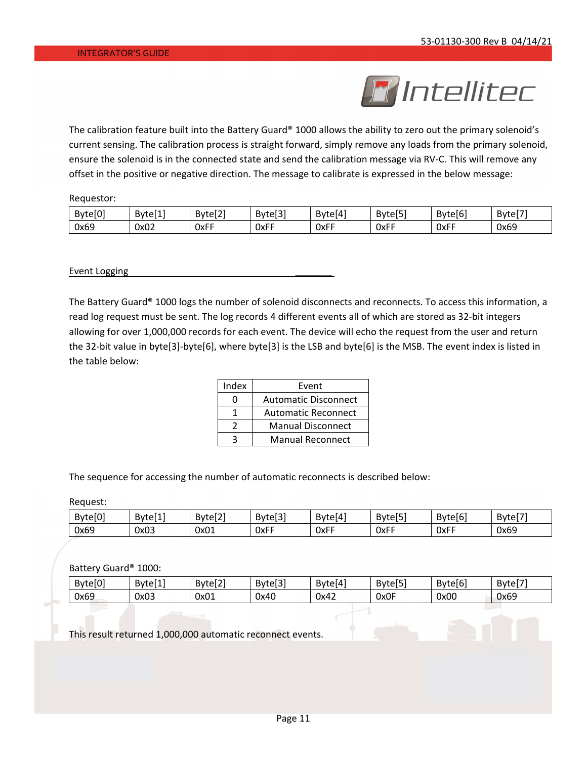

The calibration feature built into the Battery Guard® 1000 allows the ability to zero out the primary solenoid's current sensing. The calibration process is straight forward, simply remove any loads from the primary solenoid, ensure the solenoid is in the connected state and send the calibration message via RV‐C. This will remove any offset in the positive or negative direction. The message to calibrate is expressed in the below message:

Requestor:

| Byte[0] | <b>F</b> 4 1<br>Bytel <sub>1</sub> | <br>-<br>Bytel <sub>2</sub> | ־כזה<br>$B$ yte $[3]$ | Byte[4]     | r — 1<br><b>Byte</b><br>$\sim$ 1 $\sim$ | Byte[6] | -<br>Bytel. |
|---------|------------------------------------|-----------------------------|-----------------------|-------------|-----------------------------------------|---------|-------------|
| 0x69    | 0x02                               | 0xFF                        | 0xFF                  | <b>OxFF</b> | $ -$<br>0xFF                            | 0xFF    | 0x69        |

Event Logging

The Battery Guard® 1000 logs the number of solenoid disconnects and reconnects. To access this information, a read log request must be sent. The log records 4 different events all of which are stored as 32‐bit integers allowing for over 1,000,000 records for each event. The device will echo the request from the user and return the 32‐bit value in byte[3]‐byte[6], where byte[3] is the LSB and byte[6] is the MSB. The event index is listed in the table below:

| Index | Event                       |
|-------|-----------------------------|
|       | <b>Automatic Disconnect</b> |
|       | <b>Automatic Reconnect</b>  |
|       | <b>Manual Disconnect</b>    |
|       | <b>Manual Reconnect</b>     |

The sequence for accessing the number of automatic reconnects is described below:

Request:

| Byte[0] | 647<br>-<br>Bytel 1 | <b>Fo</b> 7<br>- Bv+<br>LETZ. | <b>Fo</b> :<br>Byte <sub>13</sub> | $B$ yte $[4]$ | r – 1<br><b>Bytel</b><br>י | Byte[6' | <b>F</b> — 1<br>Bytel |
|---------|---------------------|-------------------------------|-----------------------------------|---------------|----------------------------|---------|-----------------------|
| 0x69    | 0x03                | 0x01                          | <b>OxFF</b>                       | 0xFF          | 0xFF                       | 0xFF    | 0x69                  |

Battery Guard® 1000:

| <b>EA1</b><br>Bytel <sub>0</sub> | .<br>-<br>Bvte'<br>. | <b>FA3</b><br>Byte <sup>[2]</sup> | ro:<br>Bytel<br>ເບວ | .<br>Bytel4<br>' LC | r — 1<br>Byte<br>.<br>כוסו | <b>Ferma</b><br>Bytel6 | ---<br>Byte |
|----------------------------------|----------------------|-----------------------------------|---------------------|---------------------|----------------------------|------------------------|-------------|
| 0x69                             | 0x03                 | 0x01                              | 0x40                | 0x42                | 0x0F                       | 0x00                   | 0x69        |

This result returned 1,000,000 automatic reconnect events.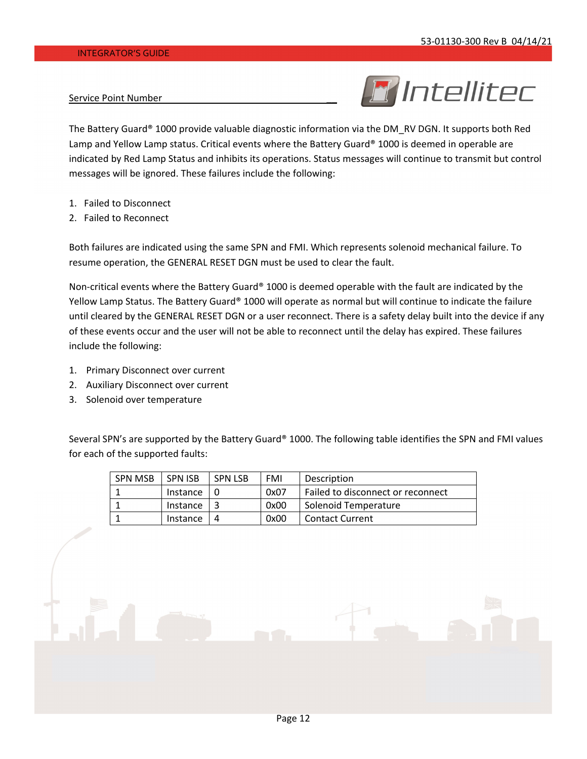# **R** Intellitec

Service Point Number

The Battery Guard® 1000 provide valuable diagnostic information via the DM\_RV DGN. It supports both Red Lamp and Yellow Lamp status. Critical events where the Battery Guard® 1000 is deemed in operable are indicated by Red Lamp Status and inhibits its operations. Status messages will continue to transmit but control messages will be ignored. These failures include the following:

- 1. Failed to Disconnect
- 2. Failed to Reconnect

Both failures are indicated using the same SPN and FMI. Which represents solenoid mechanical failure. To resume operation, the GENERAL RESET DGN must be used to clear the fault.

Non-critical events where the Battery Guard® 1000 is deemed operable with the fault are indicated by the Yellow Lamp Status. The Battery Guard® 1000 will operate as normal but will continue to indicate the failure until cleared by the GENERAL RESET DGN or a user reconnect. There is a safety delay built into the device if any of these events occur and the user will not be able to reconnect until the delay has expired. These failures include the following:

- 1. Primary Disconnect over current
- 2. Auxiliary Disconnect over current
- 3. Solenoid over temperature

Several SPN's are supported by the Battery Guard® 1000. The following table identifies the SPN and FMI values for each of the supported faults:

| <b>SPN MSB</b> | <b>SPN ISB</b> | <b>SPN LSB</b> | FMI  | <b>Description</b>                |
|----------------|----------------|----------------|------|-----------------------------------|
|                | Instance       |                | 0x07 | Failed to disconnect or reconnect |
|                | Instance       |                | 0x00 | Solenoid Temperature              |
|                | Instance       |                | 0x00 | <b>Contact Current</b>            |